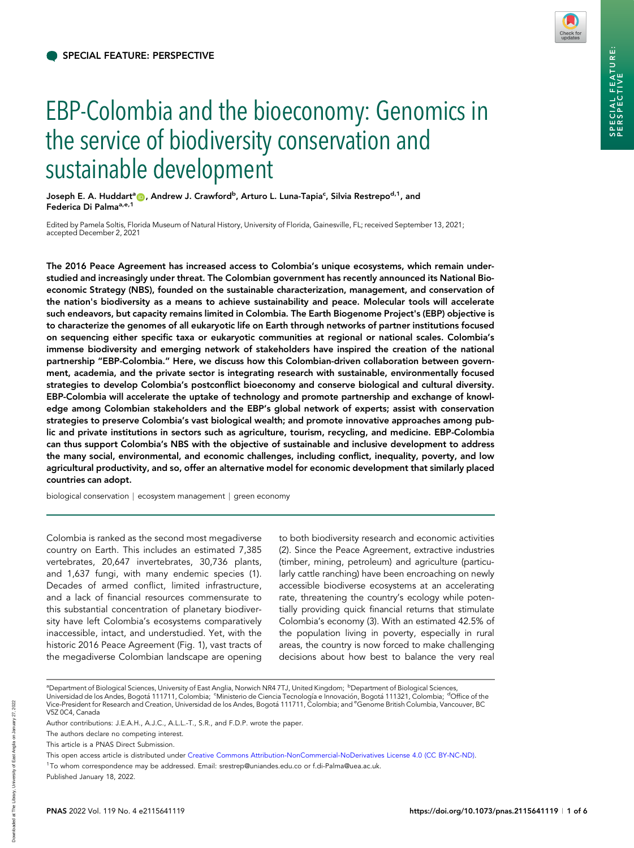

# EBP-Colombia and the bioeconomy: Genomics in the service of biodiversity conservation and sustainable development

Joseph E. A. Huddart<sup>a</sup> (D, Andrew J. Crawford<sup>b</sup>, Arturo L. Luna-Tapia<sup>c</sup>, Silvia Restrepo<sup>d,1</sup>, and Federica Di Palma<sup>a, e, 1</sup>

Edited by Pamela Soltis, Florida Museum of Natural History, University of Florida, Gainesville, FL; received September 13, 2021; accepted December 2, 2021

The 2016 Peace Agreement has increased access to Colombia's unique ecosystems, which remain understudied and increasingly under threat. The Colombian government has recently announced its National Bioeconomic Strategy (NBS), founded on the sustainable characterization, management, and conservation of the nation's biodiversity as a means to achieve sustainability and peace. Molecular tools will accelerate such endeavors, but capacity remains limited in Colombia. The Earth Biogenome Project's (EBP) objective is to characterize the genomes of all eukaryotic life on Earth through networks of partner institutions focused on sequencing either specific taxa or eukaryotic communities at regional or national scales. Colombia's immense biodiversity and emerging network of stakeholders have inspired the creation of the national partnership "EBP-Colombia." Here, we discuss how this Colombian-driven collaboration between government, academia, and the private sector is integrating research with sustainable, environmentally focused strategies to develop Colombia's postconflict bioeconomy and conserve biological and cultural diversity. EBP-Colombia will accelerate the uptake of technology and promote partnership and exchange of knowledge among Colombian stakeholders and the EBP's global network of experts; assist with conservation strategies to preserve Colombia's vast biological wealth; and promote innovative approaches among public and private institutions in sectors such as agriculture, tourism, recycling, and medicine. EBP-Colombia can thus support Colombia's NBS with the objective of sustainable and inclusive development to address the many social, environmental, and economic challenges, including conflict, inequality, poverty, and low agricultural productivity, and so, offer an alternative model for economic development that similarly placed countries can adopt.

biological conservation | ecosystem management | green economy

Colombia is ranked as the second most megadiverse country on Earth. This includes an estimated 7,385 vertebrates, 20,647 invertebrates, 30,736 plants, and 1,637 fungi, with many endemic species (1). Decades of armed conflict, limited infrastructure, and a lack of financial resources commensurate to this substantial concentration of planetary biodiversity have left Colombia's ecosystems comparatively inaccessible, intact, and understudied. Yet, with the historic 2016 Peace Agreement (Fig. 1), vast tracts of the megadiverse Colombian landscape are opening

to both biodiversity research and economic activities (2). Since the Peace Agreement, extractive industries (timber, mining, petroleum) and agriculture (particularly cattle ranching) have been encroaching on newly accessible biodiverse ecosystems at an accelerating rate, threatening the country's ecology while potentially providing quick financial returns that stimulate Colombia's economy (3). With an estimated 42.5% of the population living in poverty, especially in rural areas, the country is now forced to make challenging decisions about how best to balance the very real

2022

ªDepartment of Biological Sciences, University of East Anglia, Norwich NR4 7TJ, United Kingdom; <sup>b</sup>Department of Biological Sciences, Universidad de los Andes, Bogotá 111711, Colombia; <sup>c</sup>Ministerio de Ciencia Tecnología e Innovación, Bogotá 111321, Colombia; <sup>d</sup>Office of the

Vice-President for Research and Creation, Universidad de los Andes, Bogotá 111711, Colombia; and <sup>e</sup>Genome British Columbia, Vancouver, BC V5Z 0C4, Canada

Author contributions: J.E.A.H., A.J.C., A.L.L.-T., S.R., and F.D.P. wrote the paper.

The authors declare no competing interest.

This article is a PNAS Direct Submission.

This open access article is distributed under [Creative Commons Attribution-NonCommercial-NoDerivatives License 4.0 \(CC BY-NC-ND\).](https://creativecommons.org/licenses/by-nc-nd/4.0/)

<sup>1</sup> To whom correspondence may be addressed. Email: [srestrep@uniandes.edu.co](mailto:srestrep@uniandes.edu.co) or [f.di-Palma@uea.ac.uk](mailto:f.di-Palma@uea.ac.uk).

Published January 18, 2022.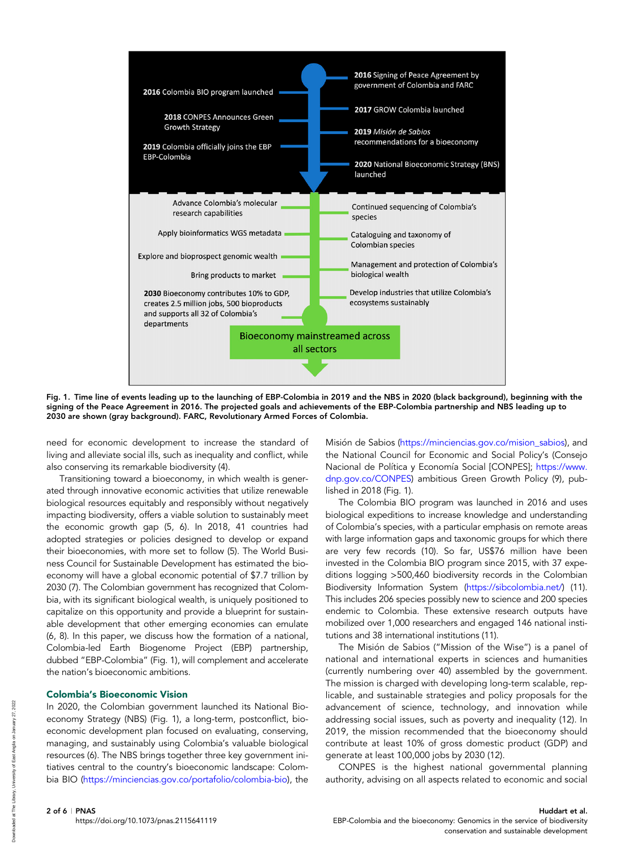

Fig. 1. Time line of events leading up to the launching of EBP-Colombia in 2019 and the NBS in 2020 (black background), beginning with the signing of the Peace Agreement in 2016. The projected goals and achievements of the EBP-Colombia partnership and NBS leading up to 2030 are shown (gray background). FARC, Revolutionary Armed Forces of Colombia.

need for economic development to increase the standard of living and alleviate social ills, such as inequality and conflict, while also conserving its remarkable biodiversity (4).

Transitioning toward a bioeconomy, in which wealth is generated through innovative economic activities that utilize renewable biological resources equitably and responsibly without negatively impacting biodiversity, offers a viable solution to sustainably meet the economic growth gap (5, 6). In 2018, 41 countries had adopted strategies or policies designed to develop or expand their bioeconomies, with more set to follow (5). The World Business Council for Sustainable Development has estimated the bioeconomy will have a global economic potential of \$7.7 trillion by 2030 (7). The Colombian government has recognized that Colombia, with its significant biological wealth, is uniquely positioned to capitalize on this opportunity and provide a blueprint for sustainable development that other emerging economies can emulate (6, 8). In this paper, we discuss how the formation of a national, Colombia-led Earth Biogenome Project (EBP) partnership, dubbed "EBP-Colombia" (Fig. 1), will complement and accelerate the nation's bioeconomic ambitions.

### Colombia's Bioeconomic Vision

In 2020, the Colombian government launched its National Bioeconomy Strategy (NBS) (Fig. 1), a long-term, postconflict, bioeconomic development plan focused on evaluating, conserving, managing, and sustainably using Colombia's valuable biological resources (6). The NBS brings together three key government initiatives central to the country's bioeconomic landscape: Colombia BIO (<https://minciencias.gov.co/portafolio/colombia-bio>), the

Misión de Sabios ([https://minciencias.gov.co/mision\\_sabios](https://minciencias.gov.co/mision_sabios)), and the National Council for Economic and Social Policy's (Consejo Nacional de Política y Economía Social [CONPES]; [https://www.](https://www.dnp.gov.co/CONPES) [dnp.gov.co/CONPES\)](https://www.dnp.gov.co/CONPES) ambitious Green Growth Policy (9), published in 2018 (Fig. 1).

The Colombia BIO program was launched in 2016 and uses biological expeditions to increase knowledge and understanding of Colombia's species, with a particular emphasis on remote areas with large information gaps and taxonomic groups for which there are very few records (10). So far, US\$76 million have been invested in the Colombia BIO program since 2015, with 37 expeditions logging >500,460 biodiversity records in the Colombian Biodiversity Information System ([https://sibcolombia.net/\)](https://sibcolombia.net/) (11). This includes 206 species possibly new to science and 200 species endemic to Colombia. These extensive research outputs have mobilized over 1,000 researchers and engaged 146 national institutions and 38 international institutions (11).

The Misión de Sabios ("Mission of the Wise") is a panel of national and international experts in sciences and humanities (currently numbering over 40) assembled by the government. The mission is charged with developing long-term scalable, replicable, and sustainable strategies and policy proposals for the advancement of science, technology, and innovation while addressing social issues, such as poverty and inequality (12). In 2019, the mission recommended that the bioeconomy should contribute at least 10% of gross domestic product (GDP) and generate at least 100,000 jobs by 2030 (12).

CONPES is the highest national governmental planning authority, advising on all aspects related to economic and social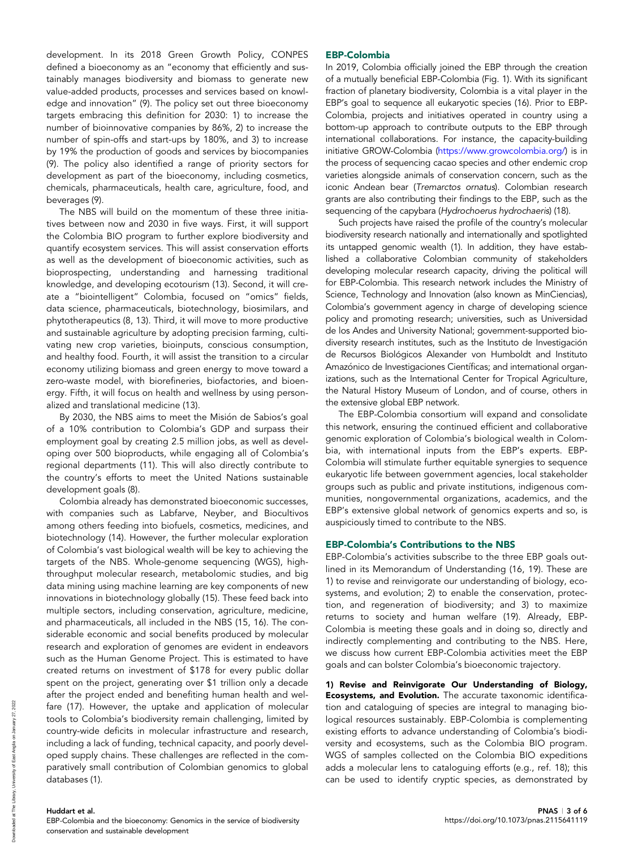development. In its 2018 Green Growth Policy, CONPES defined a bioeconomy as an "economy that efficiently and sustainably manages biodiversity and biomass to generate new value-added products, processes and services based on knowledge and innovation" (9). The policy set out three bioeconomy targets embracing this definition for 2030: 1) to increase the number of bioinnovative companies by 86%, 2) to increase the number of spin-offs and start-ups by 180%, and 3) to increase by 19% the production of goods and services by biocompanies (9). The policy also identified a range of priority sectors for development as part of the bioeconomy, including cosmetics, chemicals, pharmaceuticals, health care, agriculture, food, and beverages (9).

The NBS will build on the momentum of these three initiatives between now and 2030 in five ways. First, it will support the Colombia BIO program to further explore biodiversity and quantify ecosystem services. This will assist conservation efforts as well as the development of bioeconomic activities, such as bioprospecting, understanding and harnessing traditional knowledge, and developing ecotourism (13). Second, it will create a "biointelligent" Colombia, focused on "omics" fields, data science, pharmaceuticals, biotechnology, biosimilars, and phytotherapeutics (8, 13). Third, it will move to more productive and sustainable agriculture by adopting precision farming, cultivating new crop varieties, bioinputs, conscious consumption, and healthy food. Fourth, it will assist the transition to a circular economy utilizing biomass and green energy to move toward a zero-waste model, with biorefineries, biofactories, and bioenergy. Fifth, it will focus on health and wellness by using personalized and translational medicine (13).

By 2030, the NBS aims to meet the Misión de Sabios's goal of a 10% contribution to Colombia's GDP and surpass their employment goal by creating 2.5 million jobs, as well as developing over 500 bioproducts, while engaging all of Colombia's regional departments (11). This will also directly contribute to the country's efforts to meet the United Nations sustainable development goals (8).

Colombia already has demonstrated bioeconomic successes, with companies such as Labfarve, Neyber, and Biocultivos among others feeding into biofuels, cosmetics, medicines, and biotechnology (14). However, the further molecular exploration of Colombia's vast biological wealth will be key to achieving the targets of the NBS. Whole-genome sequencing (WGS), highthroughput molecular research, metabolomic studies, and big data mining using machine learning are key components of new innovations in biotechnology globally (15). These feed back into multiple sectors, including conservation, agriculture, medicine, and pharmaceuticals, all included in the NBS (15, 16). The considerable economic and social benefits produced by molecular research and exploration of genomes are evident in endeavors such as the Human Genome Project. This is estimated to have created returns on investment of \$178 for every public dollar spent on the project, generating over \$1 trillion only a decade after the project ended and benefiting human health and welfare (17). However, the uptake and application of molecular tools to Colombia's biodiversity remain challenging, limited by country-wide deficits in molecular infrastructure and research, including a lack of funding, technical capacity, and poorly developed supply chains. These challenges are reflected in the comparatively small contribution of Colombian genomics to global databases (1).

#### EBP-Colombia

In 2019, Colombia officially joined the EBP through the creation of a mutually beneficial EBP-Colombia (Fig. 1). With its significant fraction of planetary biodiversity, Colombia is a vital player in the EBP's goal to sequence all eukaryotic species (16). Prior to EBP-Colombia, projects and initiatives operated in country using a bottom-up approach to contribute outputs to the EBP through international collaborations. For instance, the capacity-building initiative GROW-Colombia [\(https://www.growcolombia.org/\)](https://www.growcolombia.org/) is in the process of sequencing cacao species and other endemic crop varieties alongside animals of conservation concern, such as the iconic Andean bear (Tremarctos ornatus). Colombian research grants are also contributing their findings to the EBP, such as the sequencing of the capybara (Hydrochoerus hydrochaeris) (18).

Such projects have raised the profile of the country's molecular biodiversity research nationally and internationally and spotlighted its untapped genomic wealth (1). In addition, they have established a collaborative Colombian community of stakeholders developing molecular research capacity, driving the political will for EBP-Colombia. This research network includes the Ministry of Science, Technology and Innovation (also known as MinCiencias), Colombia's government agency in charge of developing science policy and promoting research; universities, such as Universidad de los Andes and University National; government-supported biodiversity research institutes, such as the Instituto de Investigación de Recursos Biológicos Alexander von Humboldt and Instituto Amazónico de Investigaciones Científicas; and international organizations, such as the International Center for Tropical Agriculture, the Natural History Museum of London, and of course, others in the extensive global EBP network.

The EBP-Colombia consortium will expand and consolidate this network, ensuring the continued efficient and collaborative genomic exploration of Colombia's biological wealth in Colombia, with international inputs from the EBP's experts. EBP-Colombia will stimulate further equitable synergies to sequence eukaryotic life between government agencies, local stakeholder groups such as public and private institutions, indigenous communities, nongovernmental organizations, academics, and the EBP's extensive global network of genomics experts and so, is auspiciously timed to contribute to the NBS.

### EBP-Colombia's Contributions to the NBS

EBP-Colombia's activities subscribe to the three EBP goals outlined in its Memorandum of Understanding (16, 19). These are 1) to revise and reinvigorate our understanding of biology, ecosystems, and evolution; 2) to enable the conservation, protection, and regeneration of biodiversity; and 3) to maximize returns to society and human welfare (19). Already, EBP-Colombia is meeting these goals and in doing so, directly and indirectly complementing and contributing to the NBS. Here, we discuss how current EBP-Colombia activities meet the EBP goals and can bolster Colombia's bioeconomic trajectory.

1) Revise and Reinvigorate Our Understanding of Biology, Ecosystems, and Evolution. The accurate taxonomic identification and cataloguing of species are integral to managing biological resources sustainably. EBP-Colombia is complementing existing efforts to advance understanding of Colombia's biodiversity and ecosystems, such as the Colombia BIO program. WGS of samples collected on the Colombia BIO expeditions adds a molecular lens to cataloguing efforts (e.g., ref. 18); this can be used to identify cryptic species, as demonstrated by

## Huddart et al.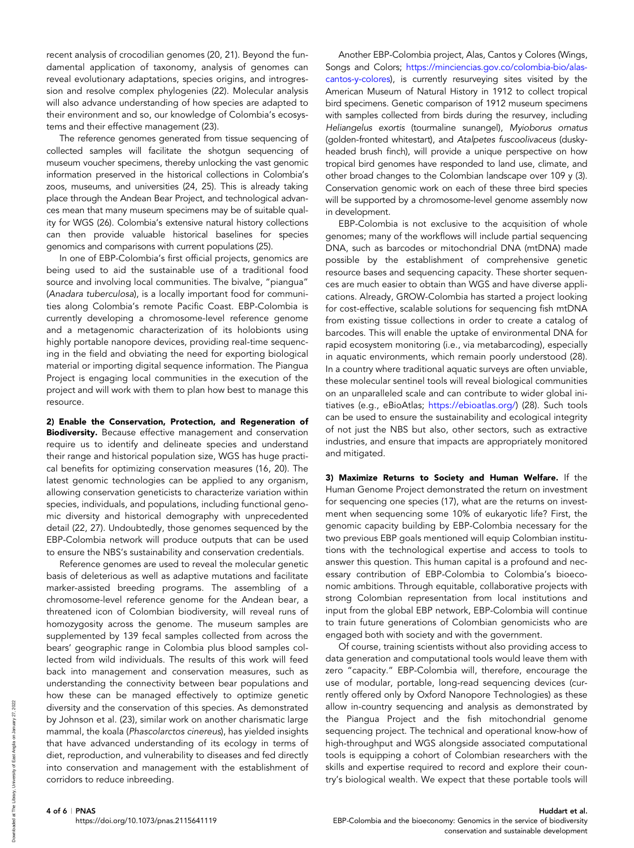recent analysis of crocodilian genomes (20, 21). Beyond the fundamental application of taxonomy, analysis of genomes can reveal evolutionary adaptations, species origins, and introgression and resolve complex phylogenies (22). Molecular analysis will also advance understanding of how species are adapted to their environment and so, our knowledge of Colombia's ecosystems and their effective management (23).

The reference genomes generated from tissue sequencing of collected samples will facilitate the shotgun sequencing of museum voucher specimens, thereby unlocking the vast genomic information preserved in the historical collections in Colombia's zoos, museums, and universities (24, 25). This is already taking place through the Andean Bear Project, and technological advances mean that many museum specimens may be of suitable quality for WGS (26). Colombia's extensive natural history collections can then provide valuable historical baselines for species genomics and comparisons with current populations (25).

In one of EBP-Colombia's first official projects, genomics are being used to aid the sustainable use of a traditional food source and involving local communities. The bivalve, "piangua" (Anadara tuberculosa), is a locally important food for communities along Colombia's remote Pacific Coast. EBP-Colombia is currently developing a chromosome-level reference genome and a metagenomic characterization of its holobionts using highly portable nanopore devices, providing real-time sequencing in the field and obviating the need for exporting biological material or importing digital sequence information. The Piangua Project is engaging local communities in the execution of the project and will work with them to plan how best to manage this resource.

2) Enable the Conservation, Protection, and Regeneration of Biodiversity. Because effective management and conservation require us to identify and delineate species and understand their range and historical population size, WGS has huge practical benefits for optimizing conservation measures (16, 20). The latest genomic technologies can be applied to any organism, allowing conservation geneticists to characterize variation within species, individuals, and populations, including functional genomic diversity and historical demography with unprecedented detail (22, 27). Undoubtedly, those genomes sequenced by the EBP-Colombia network will produce outputs that can be used to ensure the NBS's sustainability and conservation credentials.

Reference genomes are used to reveal the molecular genetic basis of deleterious as well as adaptive mutations and facilitate marker-assisted breeding programs. The assembling of a chromosome-level reference genome for the Andean bear, a threatened icon of Colombian biodiversity, will reveal runs of homozygosity across the genome. The museum samples are supplemented by 139 fecal samples collected from across the bears' geographic range in Colombia plus blood samples collected from wild individuals. The results of this work will feed back into management and conservation measures, such as understanding the connectivity between bear populations and how these can be managed effectively to optimize genetic diversity and the conservation of this species. As demonstrated by Johnson et al. (23), similar work on another charismatic large mammal, the koala (Phascolarctos cinereus), has yielded insights that have advanced understanding of its ecology in terms of diet, reproduction, and vulnerability to diseases and fed directly into conservation and management with the establishment of corridors to reduce inbreeding.

Another EBP-Colombia project, Alas, Cantos y Colores (Wings, Songs and Colors; [https://minciencias.gov.co/colombia-bio/alas](https://minciencias.gov.co/colombia-bio/alas-cantos-y-colores)[cantos-y-colores](https://minciencias.gov.co/colombia-bio/alas-cantos-y-colores)), is currently resurveying sites visited by the American Museum of Natural History in 1912 to collect tropical bird specimens. Genetic comparison of 1912 museum specimens with samples collected from birds during the resurvey, including Heliangelus exortis (tourmaline sunangel), Myioborus ornatus (golden-fronted whitestart), and Atalpetes fuscoolivaceus (duskyheaded brush finch), will provide a unique perspective on how tropical bird genomes have responded to land use, climate, and other broad changes to the Colombian landscape over 109 y (3). Conservation genomic work on each of these three bird species will be supported by a chromosome-level genome assembly now in development.

EBP-Colombia is not exclusive to the acquisition of whole genomes; many of the workflows will include partial sequencing DNA, such as barcodes or mitochondrial DNA (mtDNA) made possible by the establishment of comprehensive genetic resource bases and sequencing capacity. These shorter sequences are much easier to obtain than WGS and have diverse applications. Already, GROW-Colombia has started a project looking for cost-effective, scalable solutions for sequencing fish mtDNA from existing tissue collections in order to create a catalog of barcodes. This will enable the uptake of environmental DNA for rapid ecosystem monitoring (i.e., via metabarcoding), especially in aquatic environments, which remain poorly understood (28). In a country where traditional aquatic surveys are often unviable, these molecular sentinel tools will reveal biological communities on an unparalleled scale and can contribute to wider global initiatives (e.g., eBioAtlas; [https://ebioatlas.org/\)](https://ebioatlas.org/) (28). Such tools can be used to ensure the sustainability and ecological integrity of not just the NBS but also, other sectors, such as extractive industries, and ensure that impacts are appropriately monitored and mitigated.

3) Maximize Returns to Society and Human Welfare. If the Human Genome Project demonstrated the return on investment for sequencing one species (17), what are the returns on investment when sequencing some 10% of eukaryotic life? First, the genomic capacity building by EBP-Colombia necessary for the two previous EBP goals mentioned will equip Colombian institutions with the technological expertise and access to tools to answer this question. This human capital is a profound and necessary contribution of EBP-Colombia to Colombia's bioeconomic ambitions. Through equitable, collaborative projects with strong Colombian representation from local institutions and input from the global EBP network, EBP-Colombia will continue to train future generations of Colombian genomicists who are engaged both with society and with the government.

Of course, training scientists without also providing access to data generation and computational tools would leave them with zero "capacity." EBP-Colombia will, therefore, encourage the use of modular, portable, long-read sequencing devices (currently offered only by Oxford Nanopore Technologies) as these allow in-country sequencing and analysis as demonstrated by the Piangua Project and the fish mitochondrial genome sequencing project. The technical and operational know-how of high-throughput and WGS alongside associated computational tools is equipping a cohort of Colombian researchers with the skills and expertise required to record and explore their country's biological wealth. We expect that these portable tools will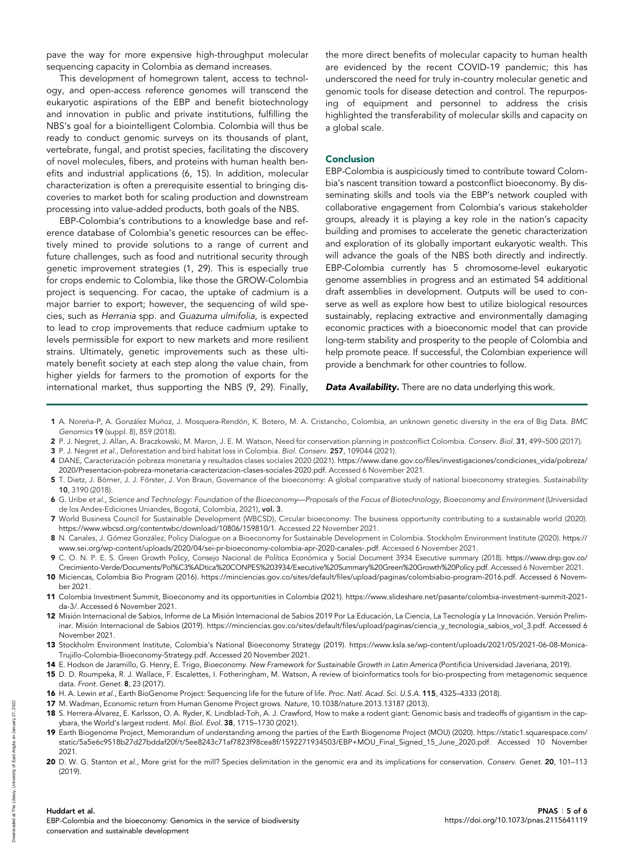pave the way for more expensive high-throughput molecular sequencing capacity in Colombia as demand increases.

This development of homegrown talent, access to technology, and open-access reference genomes will transcend the eukaryotic aspirations of the EBP and benefit biotechnology and innovation in public and private institutions, fulfilling the NBS's goal for a biointelligent Colombia. Colombia will thus be ready to conduct genomic surveys on its thousands of plant, vertebrate, fungal, and protist species, facilitating the discovery of novel molecules, fibers, and proteins with human health benefits and industrial applications (6, 15). In addition, molecular characterization is often a prerequisite essential to bringing discoveries to market both for scaling production and downstream processing into value-added products, both goals of the NBS.

EBP-Colombia's contributions to a knowledge base and reference database of Colombia's genetic resources can be effectively mined to provide solutions to a range of current and future challenges, such as food and nutritional security through genetic improvement strategies (1, 29). This is especially true for crops endemic to Colombia, like those the GROW-Colombia project is sequencing. For cacao, the uptake of cadmium is a major barrier to export; however, the sequencing of wild species, such as Herrania spp. and Guazuma ulmifolia, is expected to lead to crop improvements that reduce cadmium uptake to levels permissible for export to new markets and more resilient strains. Ultimately, genetic improvements such as these ultimately benefit society at each step along the value chain, from higher yields for farmers to the promotion of exports for the international market, thus supporting the NBS (9, 29). Finally,

the more direct benefits of molecular capacity to human health are evidenced by the recent COVID-19 pandemic; this has underscored the need for truly in-country molecular genetic and genomic tools for disease detection and control. The repurposing of equipment and personnel to address the crisis highlighted the transferability of molecular skills and capacity on a global scale.

#### **Conclusion**

EBP-Colombia is auspiciously timed to contribute toward Colombia's nascent transition toward a postconflict bioeconomy. By disseminating skills and tools via the EBP's network coupled with collaborative engagement from Colombia's various stakeholder groups, already it is playing a key role in the nation's capacity building and promises to accelerate the genetic characterization and exploration of its globally important eukaryotic wealth. This will advance the goals of the NBS both directly and indirectly. EBP-Colombia currently has 5 chromosome-level eukaryotic genome assemblies in progress and an estimated 54 additional draft assemblies in development. Outputs will be used to conserve as well as explore how best to utilize biological resources sustainably, replacing extractive and environmentally damaging economic practices with a bioeconomic model that can provide long-term stability and prosperity to the people of Colombia and help promote peace. If successful, the Colombian experience will provide a benchmark for other countries to follow.

Data Availability. There are no data underlying this work.

- 1 A. Noreña-P, A. González Muñoz, J. Mosquera-Rendón, K. Botero, M. A. Cristancho, Colombia, an unknown genetic diversity in the era of Big Data. BMC Genomics 19 (suppl. 8), 859 (2018).
- 2 P. J. Negret, J. Allan, A. Braczkowski, M. Maron, J. E. M. Watson, Need for conservation planning in postconflict Colombia. Conserv. Biol. 31, 499–500 (2017).
- 3 P. J. Negret et al., Deforestation and bird habitat loss in Colombia. Biol. Conserv. 257, 109044 (2021).
- 4 DANE, Caracterizacion pobreza monetaria y resultados clases sociales 2020 (2021). https://www.dane.gov.co/fi[les/investigaciones/condiciones\\_vida/pobreza/](https://www.dane.gov.co/files/investigaciones/condiciones_vida/pobreza/2020/Presentacion-pobreza-monetaria-caracterizacion-clases-sociales-2020.pdf) [2020/Presentacion-pobreza-monetaria-caracterizacion-clases-sociales-2020.pdf.](https://www.dane.gov.co/files/investigaciones/condiciones_vida/pobreza/2020/Presentacion-pobreza-monetaria-caracterizacion-clases-sociales-2020.pdf) Accessed 6 November 2021.
- 5 T. Dietz, J. Börner, J. J. Förster, J. Von Braun, Governance of the bioeconomy: A global comparative study of national bioeconomy strategies. Sustainability 10, 3190 (2018).
- 6 G. Uribe et al., Science and Technology: Foundation of the Bioeconomy—Proposals of the Focus of Biotechnology, Bioeconomy and Environment (Universidad de los Andes-Ediciones Uniandes, Bogotá, Colombia, 2021), vol. 3.
- 7 World Business Council for Sustainable Development (WBCSD), Circular bioeconomy: The business opportunity contributing to a sustainable world (2020). [https://www.wbcsd.org/contentwbc/download/10806/159810/1.](https://www.wbcsd.org/contentwbc/download/10806/159810/1) Accessed 22 November 2021.
- 8 N. Canales, J. Gómez González, Policy Dialogue on a Bioeconomy for Sustainable Development in Colombia. Stockholm Environment Institute (2020). [https://](https://www.sei.org/wp-content/uploads/2020/04/sei-pr-bioeconomy-colombia-apr-2020-canales-.pdf) [www.sei.org/wp-content/uploads/2020/04/sei-pr-bioeconomy-colombia-apr-2020-canales-.pdf.](https://www.sei.org/wp-content/uploads/2020/04/sei-pr-bioeconomy-colombia-apr-2020-canales-.pdf) Accessed 6 November 2021.
- 9 C. O. N. P. E. S. Green Growth Policy, Consejo Nacional de Política Económica y Social Document 3934 Executive summary (2018). [https://www.dnp.gov.co/](https://www.dnp.gov.co/Crecimiento-Verde/Documents/Pol%C3%ADtica%20CONPES%203934/Executive%20Summary%20Green%20Growth%20Policy.pdf) [Crecimiento-Verde/Documents/Pol%C3%ADtica%20CONPES%203934/Executive%20Summary%20Green%20Growth%20Policy.pdf.](https://www.dnp.gov.co/Crecimiento-Verde/Documents/Pol%C3%ADtica%20CONPES%203934/Executive%20Summary%20Green%20Growth%20Policy.pdf) Accessed 6 November 2021.
- 10 Miciencas, Colombia Bio Program (2016). https://minciencias.gov.co/sites/default/fi[les/upload/paginas/colombiabio-program-2016.pdf](https://minciencias.gov.co/sites/default/files/upload/paginas/colombiabio-program-2016.pdf). Accessed 6 November 2021.
- 11 Colombia Investment Summit, Bioeconomy and its opportunities in Colombia (2021). [https://www.slideshare.net/pasante/colombia-investment-summit-2021](https://www.slideshare.net/pasante/colombia-investment-summit-2021-da-3/) [da-3/.](https://www.slideshare.net/pasante/colombia-investment-summit-2021-da-3/) Accessed 6 November 2021.
- 12 Misión Internacional de Sabios, Informe de La Misión Internacional de Sabios 2019 Por La Educación, La Ciencia, La Tecnología y La Innovación. Versión Preliminar. Mision Internacional de Sabios (2019). https://minciencias.gov.co/sites/default/ fi[les/upload/paginas/ciencia\\_y\\_tecnologia\\_sabios\\_vol\\_3.pdf.](https://minciencias.gov.co/sites/default/files/upload/paginas/ciencia_y_tecnologia_sabios_vol_3.pdf) Accessed 6 November 2021.
- 13 Stockholm Environment Institute, Colombia's National Bioeconomy Strategy (2019). [https://www.ksla.se/wp-content/uploads/2021/05/2021-06-08-Monica-](https://www.ksla.se/wp-content/uploads/2021/05/2021-06-08-Monica-Trujillo-Colombia-Bioeconomy-Strategy.pdf)[Trujillo-Colombia-Bioeconomy-Strategy.pdf](https://www.ksla.se/wp-content/uploads/2021/05/2021-06-08-Monica-Trujillo-Colombia-Bioeconomy-Strategy.pdf). Accessed 20 November 2021.
- 14 E. Hodson de Jaramillo, G. Henry, E. Trigo, Bioeconomy. New Framework for Sustainable Growth in Latin America (Pontificia Universidad Javeriana, 2019).
- 15 D. D. Roumpeka, R. J. Wallace, F. Escalettes, I. Fotheringham, M. Watson, A review of bioinformatics tools for bio-prospecting from metagenomic sequence data. Front. Genet. 8, 23 (2017).
- 16 H. A. Lewin et al., Earth BioGenome Project: Sequencing life for the future of life. Proc. Natl. Acad. Sci. U.S.A. 115, 4325-4333 (2018).
- 17 M. Wadman, Economic return from Human Genome Project grows. Nature, [10.1038/nature.2013.13187](https://doi.org/10.1038/nature.2013.13187) (2013). 18 S. Herrera-Álvarez, E. Karlsson, O. A. Ryder, K. Lindblad-Toh, A. J. Crawford, How to make a rodent giant: Genomic basis and tradeoffs of gigantism in the cap-
- ybara, the World's largest rodent. Mol. Biol. Evol. 38, 1715–1730 (2021).
- 19 Earth Biogenome Project, Memorandum of understanding among the parties of the Earth Biogenome Project (MOU) (2020). [https://static1.squarespace.com/](https://static1.squarespace.com/static/5a5e6c9518b27d27bddaf20f/t/5ee8243c71af7823f98cea8f/1592271934503/EBP+MOU_Final_Signed_15_June_2020.pdf) [static/5a5e6c9518b27d27bddaf20f/t/5ee8243c71af7823f98cea8f/1592271934503/EBP+MOU\\_Final\\_Signed\\_15\\_June\\_2020.pdf](https://static1.squarespace.com/static/5a5e6c9518b27d27bddaf20f/t/5ee8243c71af7823f98cea8f/1592271934503/EBP+MOU_Final_Signed_15_June_2020.pdf). Accessed 10 November 2021.
- 20 D. W. G. Stanton et al., More grist for the mill? Species delimitation in the genomic era and its implications for conservation. Conserv. Genet. 20, 101-113 (2019).